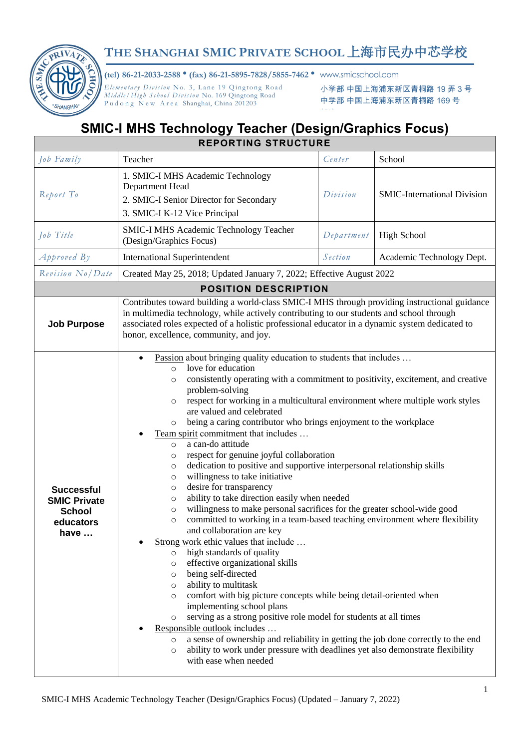

## **THE SHANGHAI SMIC PRIVATE SCHOOL** 上海市民办中芯学校

**(tel) 86-21-2033-2588** • **(fax) 86-21-5895-7828/5855-7462** • www.smicschool.com

*Elementary Division No. 3, Lane 19 Qingtong Road Mid dle / High S chool Di vis ion* No. 169 Qingtong Road Pudong New Area Shanghai, China 201203

小学部 中国上海浦东新区青桐路 19 弄 3 号 中学部 中国上海浦东新区青桐路 169 号

## **SMIC-I MHS Technology Teacher (Design/Graphics Focus) REPORTING STRUCTURE**

| Job Family                                                                     | Teacher                                                                                                                                                                                                                                                                                                                                                                                                                                                                                                                                                                                                                                                                                                                                                                                                                                                                                                                                                                                                                                                                                                                                                                                                                                                                                                                                                                                                                                                                                                                                                                                                                                                                | Center     | School                             |  |
|--------------------------------------------------------------------------------|------------------------------------------------------------------------------------------------------------------------------------------------------------------------------------------------------------------------------------------------------------------------------------------------------------------------------------------------------------------------------------------------------------------------------------------------------------------------------------------------------------------------------------------------------------------------------------------------------------------------------------------------------------------------------------------------------------------------------------------------------------------------------------------------------------------------------------------------------------------------------------------------------------------------------------------------------------------------------------------------------------------------------------------------------------------------------------------------------------------------------------------------------------------------------------------------------------------------------------------------------------------------------------------------------------------------------------------------------------------------------------------------------------------------------------------------------------------------------------------------------------------------------------------------------------------------------------------------------------------------------------------------------------------------|------------|------------------------------------|--|
| Report To                                                                      | 1. SMIC-I MHS Academic Technology<br>Department Head<br>2. SMIC-I Senior Director for Secondary<br>3. SMIC-I K-12 Vice Principal                                                                                                                                                                                                                                                                                                                                                                                                                                                                                                                                                                                                                                                                                                                                                                                                                                                                                                                                                                                                                                                                                                                                                                                                                                                                                                                                                                                                                                                                                                                                       | Division   | <b>SMIC-International Division</b> |  |
| Job Title                                                                      | SMIC-I MHS Academic Technology Teacher<br>(Design/Graphics Focus)                                                                                                                                                                                                                                                                                                                                                                                                                                                                                                                                                                                                                                                                                                                                                                                                                                                                                                                                                                                                                                                                                                                                                                                                                                                                                                                                                                                                                                                                                                                                                                                                      | Department | <b>High School</b>                 |  |
| $A$ pproved By                                                                 | <b>International Superintendent</b>                                                                                                                                                                                                                                                                                                                                                                                                                                                                                                                                                                                                                                                                                                                                                                                                                                                                                                                                                                                                                                                                                                                                                                                                                                                                                                                                                                                                                                                                                                                                                                                                                                    | Section    | Academic Technology Dept.          |  |
| Revision No/Date                                                               | Created May 25, 2018; Updated January 7, 2022; Effective August 2022                                                                                                                                                                                                                                                                                                                                                                                                                                                                                                                                                                                                                                                                                                                                                                                                                                                                                                                                                                                                                                                                                                                                                                                                                                                                                                                                                                                                                                                                                                                                                                                                   |            |                                    |  |
|                                                                                | <b>POSITION DESCRIPTION</b>                                                                                                                                                                                                                                                                                                                                                                                                                                                                                                                                                                                                                                                                                                                                                                                                                                                                                                                                                                                                                                                                                                                                                                                                                                                                                                                                                                                                                                                                                                                                                                                                                                            |            |                                    |  |
| <b>Job Purpose</b>                                                             | Contributes toward building a world-class SMIC-I MHS through providing instructional guidance<br>in multimedia technology, while actively contributing to our students and school through<br>associated roles expected of a holistic professional educator in a dynamic system dedicated to<br>honor, excellence, community, and joy.                                                                                                                                                                                                                                                                                                                                                                                                                                                                                                                                                                                                                                                                                                                                                                                                                                                                                                                                                                                                                                                                                                                                                                                                                                                                                                                                  |            |                                    |  |
| <b>Successful</b><br><b>SMIC Private</b><br><b>School</b><br>educators<br>have | Passion about bringing quality education to students that includes<br>love for education<br>$\circ$<br>consistently operating with a commitment to positivity, excitement, and creative<br>$\circ$<br>problem-solving<br>respect for working in a multicultural environment where multiple work styles<br>$\circ$<br>are valued and celebrated<br>being a caring contributor who brings enjoyment to the workplace<br>$\circ$<br>Team spirit commitment that includes<br>a can-do attitude<br>$\circ$<br>respect for genuine joyful collaboration<br>$\circ$<br>dedication to positive and supportive interpersonal relationship skills<br>$\circ$<br>willingness to take initiative<br>$\circ$<br>desire for transparency<br>$\circ$<br>ability to take direction easily when needed<br>$\circ$<br>willingness to make personal sacrifices for the greater school-wide good<br>$\circ$<br>committed to working in a team-based teaching environment where flexibility<br>$\circ$<br>and collaboration are key<br>Strong work ethic values that include<br>high standards of quality<br>$\circ$<br>effective organizational skills<br>$\circ$<br>being self-directed<br>$\circ$<br>ability to multitask<br>$\circ$<br>comfort with big picture concepts while being detail-oriented when<br>$\circ$<br>implementing school plans<br>serving as a strong positive role model for students at all times<br>$\circ$<br>Responsible outlook includes<br>a sense of ownership and reliability in getting the job done correctly to the end<br>$\circ$<br>ability to work under pressure with deadlines yet also demonstrate flexibility<br>$\circ$<br>with ease when needed |            |                                    |  |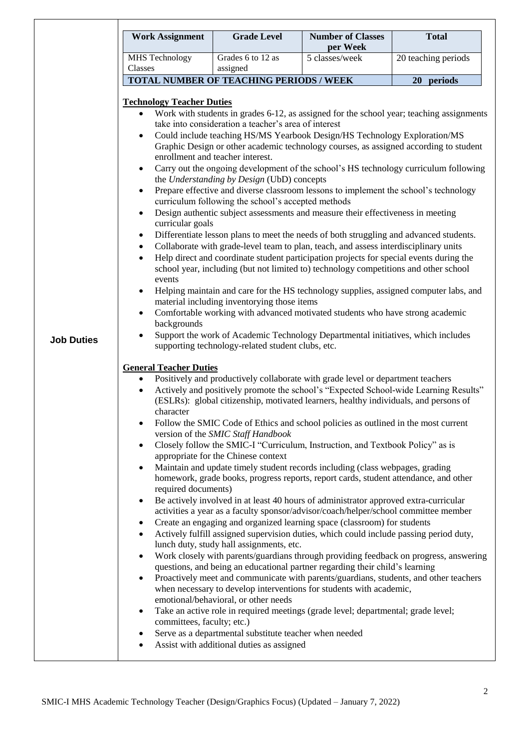| <b>Work Assignment</b>           | <b>Grade Level</b>                                     | <b>Number of Classes</b><br>per Week                                                                                                                                           | <b>Total</b>        |
|----------------------------------|--------------------------------------------------------|--------------------------------------------------------------------------------------------------------------------------------------------------------------------------------|---------------------|
| <b>MHS</b> Technology            | Grades 6 to 12 as                                      | 5 classes/week                                                                                                                                                                 | 20 teaching periods |
| Classes                          | assigned<br>TOTAL NUMBER OF TEACHING PERIODS / WEEK    |                                                                                                                                                                                |                     |
|                                  |                                                        |                                                                                                                                                                                | 20 periods          |
| <b>Technology Teacher Duties</b> |                                                        |                                                                                                                                                                                |                     |
| $\bullet$                        |                                                        | Work with students in grades 6-12, as assigned for the school year; teaching assignments                                                                                       |                     |
|                                  | take into consideration a teacher's area of interest   | Could include teaching HS/MS Yearbook Design/HS Technology Exploration/MS                                                                                                      |                     |
|                                  |                                                        | Graphic Design or other academic technology courses, as assigned according to student                                                                                          |                     |
|                                  | enrollment and teacher interest.                       |                                                                                                                                                                                |                     |
|                                  |                                                        | Carry out the ongoing development of the school's HS technology curriculum following                                                                                           |                     |
| $\bullet$                        | the Understanding by Design (UbD) concepts             | Prepare effective and diverse classroom lessons to implement the school's technology                                                                                           |                     |
|                                  | curriculum following the school's accepted methods     |                                                                                                                                                                                |                     |
| $\bullet$                        |                                                        | Design authentic subject assessments and measure their effectiveness in meeting                                                                                                |                     |
| curricular goals                 |                                                        |                                                                                                                                                                                |                     |
| ٠                                |                                                        | Differentiate lesson plans to meet the needs of both struggling and advanced students.<br>Collaborate with grade-level team to plan, teach, and assess interdisciplinary units |                     |
| $\bullet$<br>$\bullet$           |                                                        | Help direct and coordinate student participation projects for special events during the                                                                                        |                     |
|                                  |                                                        | school year, including (but not limited to) technology competitions and other school                                                                                           |                     |
| events                           |                                                        |                                                                                                                                                                                |                     |
|                                  | material including inventorying those items            | Helping maintain and care for the HS technology supplies, assigned computer labs, and                                                                                          |                     |
| $\bullet$                        |                                                        | Comfortable working with advanced motivated students who have strong academic                                                                                                  |                     |
| backgrounds                      |                                                        |                                                                                                                                                                                |                     |
| $\bullet$                        |                                                        | Support the work of Academic Technology Departmental initiatives, which includes                                                                                               |                     |
|                                  | supporting technology-related student clubs, etc.      |                                                                                                                                                                                |                     |
| <b>General Teacher Duties</b>    |                                                        |                                                                                                                                                                                |                     |
| $\bullet$                        |                                                        | Positively and productively collaborate with grade level or department teachers                                                                                                |                     |
| $\bullet$                        |                                                        | Actively and positively promote the school's "Expected School-wide Learning Results"                                                                                           |                     |
| character                        |                                                        | (ESLRs): global citizenship, motivated learners, healthy individuals, and persons of                                                                                           |                     |
|                                  |                                                        | Follow the SMIC Code of Ethics and school policies as outlined in the most current                                                                                             |                     |
|                                  | version of the SMIC Staff Handbook                     |                                                                                                                                                                                |                     |
| $\bullet$                        |                                                        | Closely follow the SMIC-I "Curriculum, Instruction, and Textbook Policy" as is                                                                                                 |                     |
|                                  | appropriate for the Chinese context                    |                                                                                                                                                                                |                     |
|                                  |                                                        | Maintain and update timely student records including (class webpages, grading<br>homework, grade books, progress reports, report cards, student attendance, and other          |                     |
| required documents)              |                                                        |                                                                                                                                                                                |                     |
|                                  |                                                        | Be actively involved in at least 40 hours of administrator approved extra-curricular                                                                                           |                     |
|                                  |                                                        | activities a year as a faculty sponsor/advisor/coach/helper/school committee member                                                                                            |                     |
| ٠<br>$\bullet$                   |                                                        | Create an engaging and organized learning space (classroom) for students<br>Actively fulfill assigned supervision duties, which could include passing period duty,             |                     |
|                                  | lunch duty, study hall assignments, etc.               |                                                                                                                                                                                |                     |
| $\bullet$                        |                                                        | Work closely with parents/guardians through providing feedback on progress, answering                                                                                          |                     |
|                                  |                                                        | questions, and being an educational partner regarding their child's learning                                                                                                   |                     |
|                                  |                                                        | Proactively meet and communicate with parents/guardians, students, and other teachers                                                                                          |                     |
|                                  | emotional/behavioral, or other needs                   | when necessary to develop interventions for students with academic,                                                                                                            |                     |
| $\bullet$                        |                                                        | Take an active role in required meetings (grade level; departmental; grade level;                                                                                              |                     |
| committees, faculty; etc.)       |                                                        |                                                                                                                                                                                |                     |
| ٠                                | Serve as a departmental substitute teacher when needed |                                                                                                                                                                                |                     |
|                                  | Assist with additional duties as assigned              |                                                                                                                                                                                |                     |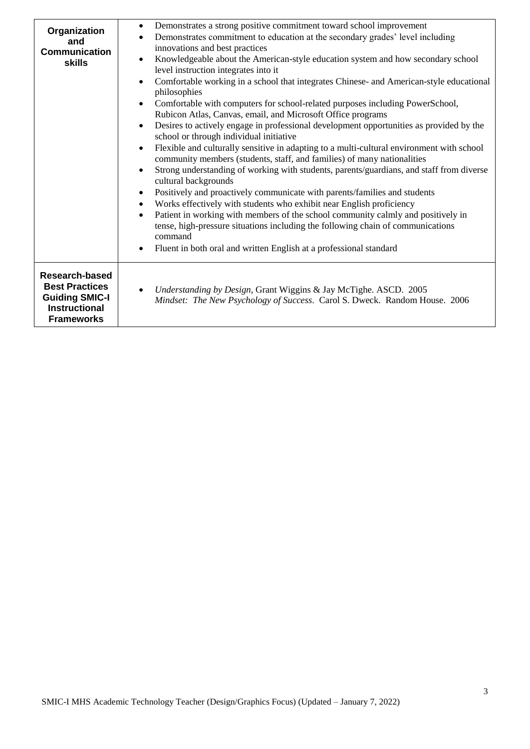| Organization<br>and<br><b>Communication</b><br><b>skills</b>                                                  | Demonstrates a strong positive commitment toward school improvement<br>$\bullet$<br>Demonstrates commitment to education at the secondary grades' level including<br>$\bullet$<br>innovations and best practices<br>Knowledgeable about the American-style education system and how secondary school<br>$\bullet$<br>level instruction integrates into it<br>Comfortable working in a school that integrates Chinese- and American-style educational<br>philosophies<br>Comfortable with computers for school-related purposes including PowerSchool,<br>Rubicon Atlas, Canvas, email, and Microsoft Office programs<br>Desires to actively engage in professional development opportunities as provided by the<br>$\bullet$<br>school or through individual initiative<br>Flexible and culturally sensitive in adapting to a multi-cultural environment with school<br>community members (students, staff, and families) of many nationalities<br>Strong understanding of working with students, parents/guardians, and staff from diverse<br>cultural backgrounds<br>Positively and proactively communicate with parents/families and students<br>$\bullet$<br>Works effectively with students who exhibit near English proficiency<br>$\bullet$<br>Patient in working with members of the school community calmly and positively in<br>$\bullet$<br>tense, high-pressure situations including the following chain of communications<br>command<br>Fluent in both oral and written English at a professional standard |
|---------------------------------------------------------------------------------------------------------------|-------------------------------------------------------------------------------------------------------------------------------------------------------------------------------------------------------------------------------------------------------------------------------------------------------------------------------------------------------------------------------------------------------------------------------------------------------------------------------------------------------------------------------------------------------------------------------------------------------------------------------------------------------------------------------------------------------------------------------------------------------------------------------------------------------------------------------------------------------------------------------------------------------------------------------------------------------------------------------------------------------------------------------------------------------------------------------------------------------------------------------------------------------------------------------------------------------------------------------------------------------------------------------------------------------------------------------------------------------------------------------------------------------------------------------------------------------------------------------------------------------------------------|
| Research-based<br><b>Best Practices</b><br><b>Guiding SMIC-I</b><br><b>Instructional</b><br><b>Frameworks</b> | Understanding by Design, Grant Wiggins & Jay McTighe. ASCD. 2005<br>Mindset: The New Psychology of Success. Carol S. Dweck. Random House. 2006                                                                                                                                                                                                                                                                                                                                                                                                                                                                                                                                                                                                                                                                                                                                                                                                                                                                                                                                                                                                                                                                                                                                                                                                                                                                                                                                                                          |